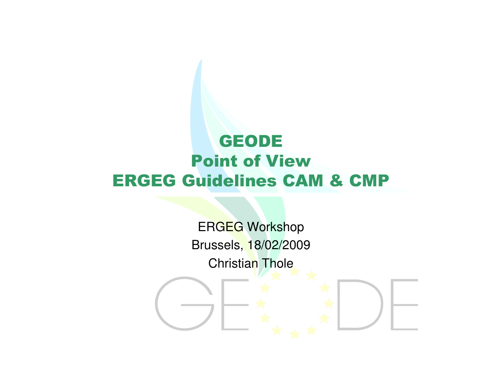# GEODE Point of ViewERGEG Guidelines CAM & CMP

ERGEG Workshop Brussels, 18/02/2009Christian Thole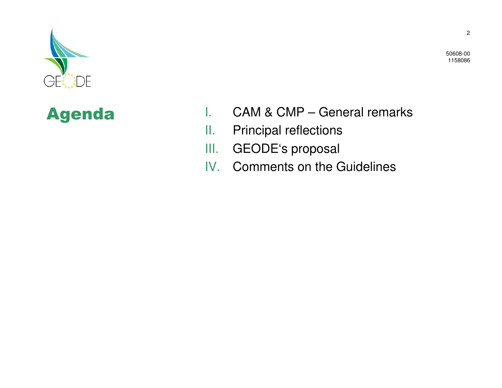



- I. CAM & CMP General remarks
- II.Principal reflections
- GEODE's proposal III.
- IV. Comments on the Guidelines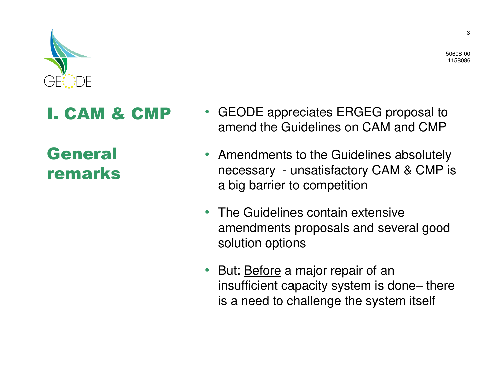

#### I. CAM & CMP

General remarks

- GEODE appreciates ERGEG proposal to amend the Guidelines on CAM and CMP
- Amendments to the Guidelines absolutely necessary - unsatisfactory CAM & CMP is a big barrier to competition
- The Guidelines contain extensive amendments proposals and several good solution options
- But: **Before** a major repair of an insufficient capacity system is done– there is a need to challenge the system itself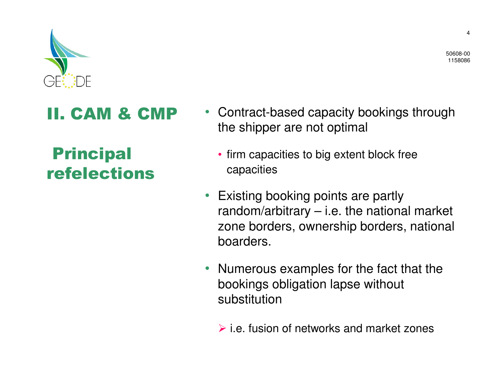

### II. CAM & CMP

Principalrefelections

- Contract-based capacity bookings through the shipper are not optimal
	- firm capacities to big extent block free capacities
- Existing booking points are partly random/arbitrary – i.e. the national market zone borders, ownership borders, national boarders.
- Numerous examples for the fact that the bookings obligation lapse without substitution
	- $\triangleright$  i.e. fusion of networks and market zones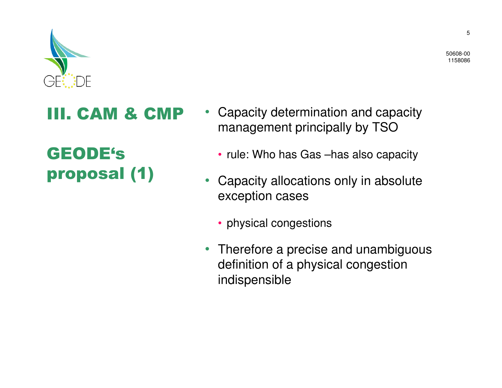

### III. CAM & CMP

# GEODE'sproposal (1)

- Capacity determination and capacity management principally by TSO
	- rule: Who has Gas –has also capacity
- $\bullet$  Capacity allocations only in absolute exception cases
	- physical congestions
- Therefore a precise and unambiguous definition of a physical congestion indispensible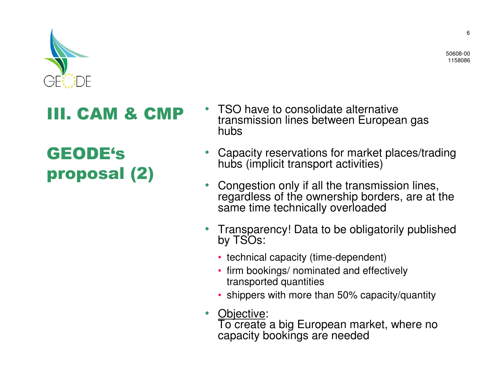

### III. CAM & CMP

# GEODE'sproposal (2)

- • TSO have to consolidate alternative transmission lines between European gas hubs
- • Capacity reservations for market places/trading hubs (implicit transport activities)
- • Congestion only if all the transmission lines, regardless of the ownership borders, are at the same time technically overloaded
- • Transparency! Data to be obligatorily published by TSOs:
	- technical capacity (time-dependent)
	- firm bookings/ nominated and effectively transported quantities
	- shippers with more than 50% capacity/quantity
- • Objective: To create a big European market, where no capacity bookings are needed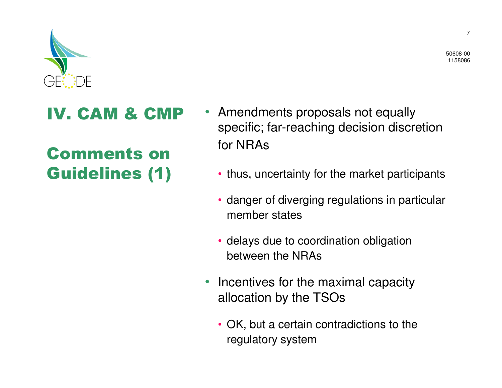

#### IV. CAM & CMP

# Comments on Guidelines (1)

- Amendments proposals not equally specific; far-reaching decision discretion for NRAs
	- thus, uncertainty for the market participants
	- danger of diverging regulations in particular member states
	- delays due to coordination obligation between the NRAs
- • Incentives for the maximal capacity allocation by the TSOs
	- OK, but a certain contradictions to the regulatory system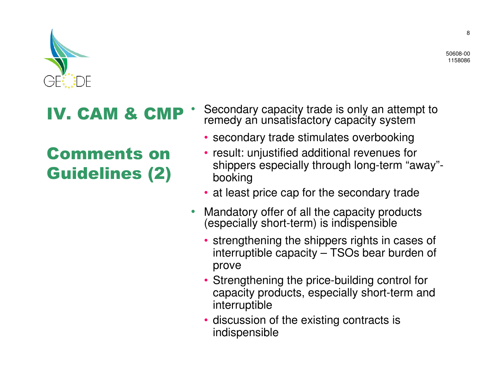

### IV. CAM & CMP

Comments on Guidelines (2)

- • Secondary capacity trade is only an attempt to remedy an unsatisfactory capacity system
	- secondary trade stimulates overbooking
	- result: unjustified additional revenues for shippers especially through long-term "away"booking
	- at least price cap for the secondary trade
- • Mandatory offer of all the capacity products (especially short-term) is indispensible
	- strengthening the shippers rights in cases of interruptible capacity – TSOs bear burden of prove
	- Strengthening the price-building control for capacity products, especially short-term and interruptible
	- discussion of the existing contracts is indispensible